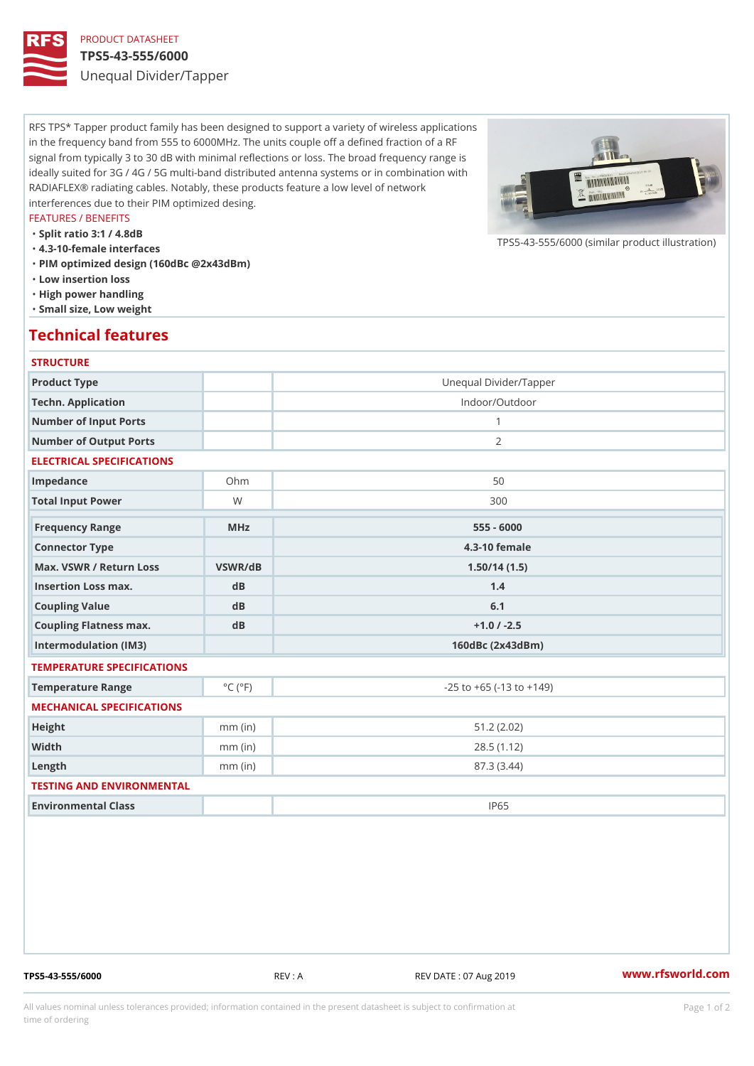# PRODUCT DATASHEET

### TPS5-43-555/6000

Unequal Divider/Tapper

RFS TPS\* Tapper product family has been designed to support a variety of wireless applications in the frequency band from 555 to 6000MHz. The units couple off a defined fraction of a RF signal from typically 3 to 30 dB with minimal reflections or loss. The broad frequency range is ideally suited for 3G / 4G / 5G multi-band distributed antenna systems or in combination with RADIAFLEX® radiating cables. Notably, these products feature a low level of network interferences due to their PIM optimized desing.

#### FEATURES / BENEFITS

"Split ratio 3:1 / 4.8dB

- "4.3-10-female interfaces
- "PIM optimized design (160dBc @2x43dBm)
- "Low insertion loss
- "High power handling
- "Small size, Low weight

## Technical features

#### **STRUCTURE**

| Product Type                   |                             | Unequal Divider/Tapper             |
|--------------------------------|-----------------------------|------------------------------------|
| Techn. Application             |                             | Indoor/Outdoor                     |
| Number of Input Ports          |                             | $\mathbf{1}$                       |
| Number of Output Ports         |                             | 2                                  |
| ELECTRICAL SPECIFICATIONS      |                             |                                    |
| Impedance                      | $Oh$ m                      | 50                                 |
| Total Input Power              | W                           | 300                                |
| Frequency Range                | MHz                         | $555 - 6000$                       |
| Connector Type                 |                             | $4.3 - 10$ female                  |
| Max. VSWR / Return LossVSWR/dB |                             | 1.50/14(1.5)                       |
| Insertion Loss max.            | d B                         | 1.4                                |
|                                | dB                          | 6.1                                |
| Coupling Value                 |                             |                                    |
| Coupling Flatness max.         | dB                          | $+1.0$ / -2.5                      |
| Intermodulation (IM3)          |                             | $160dBc$ $(2x43dBm)$               |
| TEMPERATURE SPECIFICATIONS     |                             |                                    |
| Temperature Range              | $^{\circ}$ C ( $^{\circ}$ F | $-25$ to $+65$ ( $-13$ to $+149$ ) |
| MECHANICAL SPECIFICATIONS      |                             |                                    |
| Height                         | $mm$ (in)                   | 51.2(2.02)                         |
| Width                          | $mm$ (in)                   | 28.5(1.12)                         |
| $L$ ength                      | $mm$ (in)                   | 87.3 (3.44)                        |
| TESTING AND ENVIRONMENTAL      |                             |                                    |
| Environmental Class            |                             | IP65                               |

TPS5-43-555/6000 REV : A REV DATE : 07 Aug 2019 [www.](https://www.rfsworld.com)rfsworld.com

 $TPS5-43-555/6000$  (similar product

All values nominal unless tolerances provided; information contained in the present datasheet is subject to Pcapgeign manation time of ordering